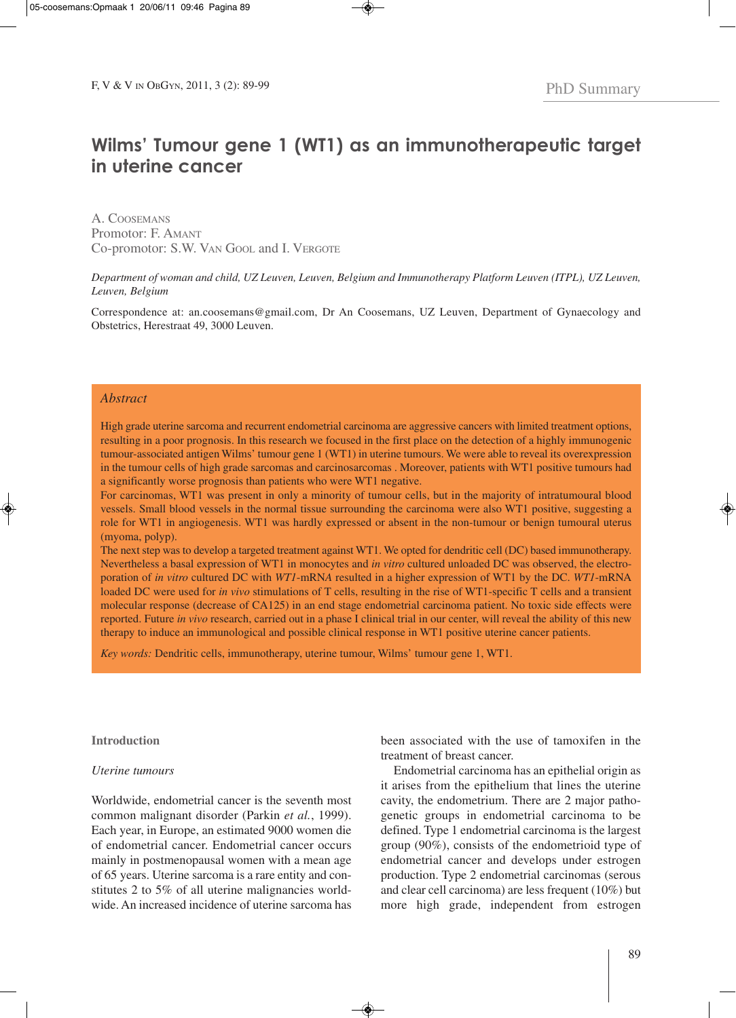# **Wilms' Tumour gene 1 (WT1) as an immunotherapeutic target in uterine cancer**

A. COOSEMANS Promotor: F. AMANT Co-promotor: S.W. VAN GOOL and I. VERGOTE

## *Department of woman and child, UZ Leuven, Leuven, Belgium and Immunotherapy Platform Leuven (ITPL), UZ Leuven, Leuven, Belgium*

Correspondence at: an.coosemans@gmail.com, Dr An Coosemans, UZ Leuven, Department of Gynaecology and Obstetrics, Herestraat 49, 3000 Leuven.

# *Abstract*

High grade uterine sarcoma and recurrent endometrial carcinoma are aggressive cancers with limited treatment options, resulting in a poor prognosis. In this research we focused in the first place on the detection of a highly immunogenic tumour-associated antigen Wilms' tumour gene 1 (WT1) in uterine tumours. We were able to reveal its overexpression in the tumour cells of high grade sarcomas and carcinosarcomas . Moreover, patients with WT1 positive tumours had a significantly worse prognosis than patients who were WT1 negative.

For carcinomas, WT1 was present in only a minority of tumour cells, but in the majority of intratumoural blood vessels. Small blood vessels in the normal tissue surrounding the carcinoma were also WT1 positive, suggesting a role for WT1 in angiogenesis. WT1 was hardly expressed or absent in the non-tumour or benign tumoural uterus (myoma, polyp).

The next step was to develop a targeted treatment against WT1. We opted for dendritic cell (DC) based immunotherapy. Nevertheless a basal expression of WT1 in monocytes and *in vitro* cultured unloaded DC was observed, the electroporation of *in vitro* cultured DC with *WT1*-mRN*A* resulted in a higher expression of WT1 by the DC. *WT1*-mRNA loaded DC were used for *in vivo* stimulations of T cells, resulting in the rise of WT1-specific T cells and a transient molecular response (decrease of CA125) in an end stage endometrial carcinoma patient. No toxic side effects were reported. Future *in vivo* research, carried out in a phase I clinical trial in our center, will reveal the ability of this new therapy to induce an immunological and possible clinical response in WT1 positive uterine cancer patients.

*Key words:* Dendritic cells, immunotherapy, uterine tumour, Wilms' tumour gene 1, WT1.

#### **Introduction**

#### *Uterine tumours*

Worldwide, endometrial cancer is the seventh most common malignant disorder (Parkin *et al.*, 1999). Each year, in Europe, an estimated 9000 women die of endometrial cancer. Endometrial cancer occurs mainly in postmenopausal women with a mean age of 65 years. Uterine sarcoma is a rare entity and constitutes 2 to 5% of all uterine malignancies worldwide. An increased incidence of uterine sarcoma has

been associated with the use of tamoxifen in the treatment of breast cancer.

Endometrial carcinoma has an epithelial origin as it arises from the epithelium that lines the uterine cavity, the endometrium. There are 2 major pathogenetic groups in endometrial carcinoma to be defined. Type 1 endometrial carcinoma is the largest group (90%), consists of the endometrioid type of endometrial cancer and develops under estrogen production. Type 2 endometrial carcinomas (serous and clear cell carcinoma) are less frequent (10%) but more high grade, independent from estrogen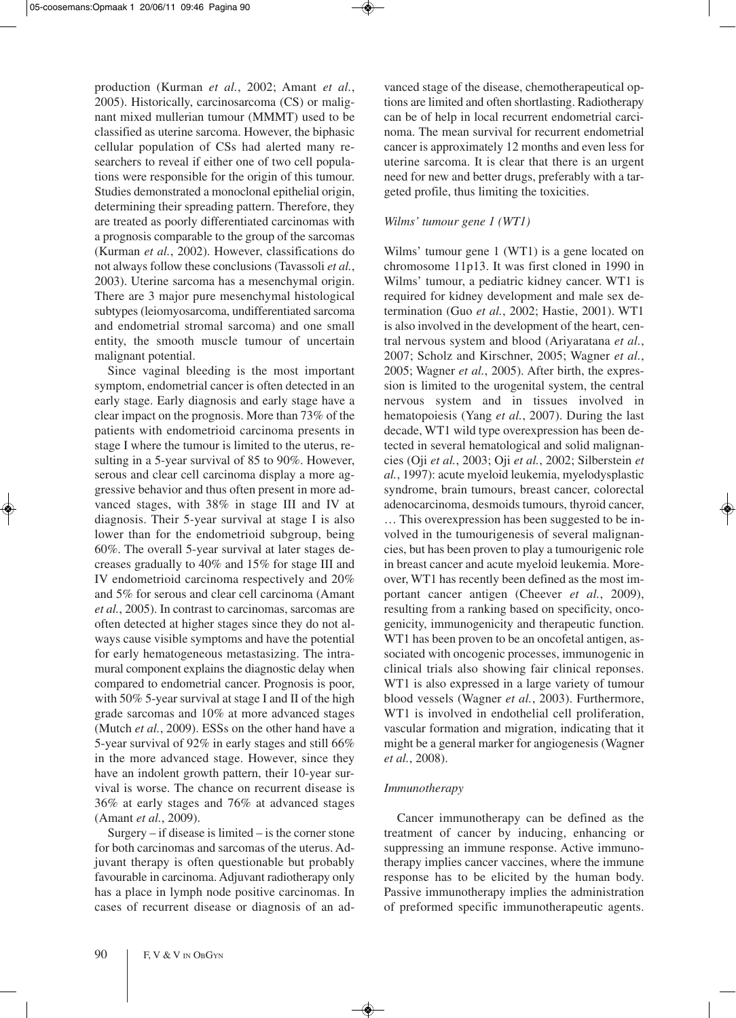production (Kurman *et al.*, 2002; Amant *et al.*, 2005). Historically, carcinosarcoma (CS) or malignant mixed mullerian tumour (MMMT) used to be classified as uterine sarcoma. However, the biphasic cellular population of CSs had alerted many researchers to reveal if either one of two cell populations were responsible for the origin of this tumour. Studies demonstrated a monoclonal epithelial origin, determining their spreading pattern. Therefore, they are treated as poorly differentiated carcinomas with a prognosis comparable to the group of the sarcomas (Kurman *et al.*, 2002). However, classifications do not always follow these conclusions (Tavassoli *et al.*, 2003). Uterine sarcoma has a mesenchymal origin. There are 3 major pure mesenchymal histological subtypes (leiomyosarcoma, undifferentiated sarcoma and endometrial stromal sarcoma) and one small entity, the smooth muscle tumour of uncertain malignant potential.

Since vaginal bleeding is the most important symptom, endometrial cancer is often detected in an early stage. Early diagnosis and early stage have a clear impact on the prognosis. More than 73% of the patients with endometrioid carcinoma presents in stage I where the tumour is limited to the uterus, resulting in a 5-year survival of 85 to 90%. However, serous and clear cell carcinoma display a more aggressive behavior and thus often present in more advanced stages, with 38% in stage III and IV at diagnosis. Their 5-year survival at stage I is also lower than for the endometrioid subgroup, being 60%. The overall 5-year survival at later stages decreases gradually to 40% and 15% for stage III and IV endometrioid carcinoma respectively and 20% and 5% for serous and clear cell carcinoma (Amant *et al.*, 2005). In contrast to carcinomas, sarcomas are often detected at higher stages since they do not always cause visible symptoms and have the potential for early hematogeneous metastasizing. The intramural component explains the diagnostic delay when compared to endometrial cancer. Prognosis is poor, with 50% 5-year survival at stage I and II of the high grade sarcomas and 10% at more advanced stages (Mutch *et al.*, 2009). ESSs on the other hand have a 5-year survival of 92% in early stages and still 66% in the more advanced stage. However, since they have an indolent growth pattern, their 10-year survival is worse. The chance on recurrent disease is 36% at early stages and 76% at advanced stages (Amant *et al.*, 2009).

Surgery  $-$  if disease is limited  $-$  is the corner stone for both carcinomas and sarcomas of the uterus. Adjuvant therapy is often questionable but probably favourable in carcinoma. Adjuvant radiotherapy only has a place in lymph node positive carcinomas. In cases of recurrent disease or diagnosis of an advanced stage of the disease, chemotherapeutical options are limited and often shortlasting. Radiotherapy can be of help in local recurrent endometrial carcinoma. The mean survival for recurrent endometrial cancer is approximately 12 months and even less for uterine sarcoma. It is clear that there is an urgent need for new and better drugs, preferably with a targeted profile, thus limiting the toxicities.

# *Wilms' tumour gene 1 (WT1)*

Wilms' tumour gene 1 (WT1) is a gene located on chromosome 11p13. It was first cloned in 1990 in Wilms' tumour, a pediatric kidney cancer. WT1 is required for kidney development and male sex determination (Guo *et al.*, 2002; Hastie, 2001). WT1 is also involved in the development of the heart, central nervous system and blood (Ariyaratana *et al.*, 2007; Scholz and Kirschner, 2005; Wagner *et al.*, 2005; Wagner *et al.*, 2005). After birth, the expression is limited to the urogenital system, the central nervous system and in tissues involved in hematopoiesis (Yang *et al.*, 2007). During the last decade, WT1 wild type overexpression has been detected in several hematological and solid malignancies (Oji *et al.*, 2003; Oji *et al.*, 2002; Silberstein *et al.*, 1997): acute myeloid leukemia, myelodysplastic syndrome, brain tumours, breast cancer, colorectal adenocarcinoma, desmoids tumours, thyroid cancer, … This overexpression has been suggested to be involved in the tumourigenesis of several malignancies, but has been proven to play a tumourigenic role in breast cancer and acute myeloid leukemia. Moreover, WT1 has recently been defined as the most important cancer antigen (Cheever *et al.*, 2009), resulting from a ranking based on specificity, oncogenicity, immunogenicity and therapeutic function. WT1 has been proven to be an oncofetal antigen, associated with oncogenic processes, immunogenic in clinical trials also showing fair clinical reponses. WT1 is also expressed in a large variety of tumour blood vessels (Wagner *et al.*, 2003). Furthermore, WT1 is involved in endothelial cell proliferation, vascular formation and migration, indicating that it might be a general marker for angiogenesis (Wagner *et al.*, 2008).

## *Immunotherapy*

Cancer immunotherapy can be defined as the treatment of cancer by inducing, enhancing or suppressing an immune response. Active immunotherapy implies cancer vaccines, where the immune response has to be elicited by the human body. Passive immunotherapy implies the administration of preformed specific immunotherapeutic agents.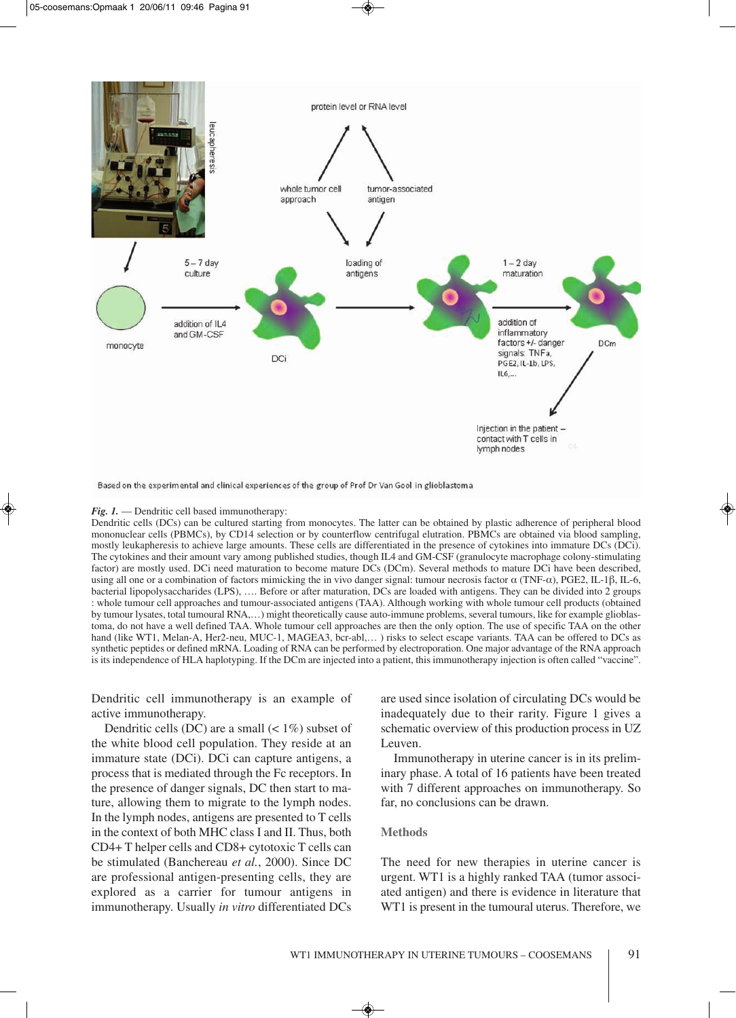

Based on the experimental and clinical experiences of the group of Prof Dr Van Gool in glioblastoma

#### *Fig. 1.* — Dendritic cell based immunotherapy:

Dendritic cells (DCs) can be cultured starting from monocytes. The latter can be obtained by plastic adherence of peripheral blood mononuclear cells (PBMCs), by CD14 selection or by counterflow centrifugal elutration. PBMCs are obtained via blood sampling, mostly leukapheresis to achieve large amounts. These cells are differentiated in the presence of cytokines into immature DCs (DCi). The cytokines and their amount vary among published studies, though IL4 and GM-CSF (granulocyte macrophage colony-stimulating factor) are mostly used. DCi need maturation to become mature DCs (DCm). Several methods to mature DCi have been described, using all one or a combination of factors mimicking the in vivo danger signal: tumour necrosis factor α (TNF-α), PGE2, IL-1β, IL-6, bacterial lipopolysaccharides (LPS), …. Before or after maturation, DCs are loaded with antigens. They can be divided into 2 groups : whole tumour cell approaches and tumour-associated antigens (TAA). Although working with whole tumour cell products (obtained by tumour lysates, total tumoural RNA,…) might theoretically cause auto-immune problems, several tumours, like for example glioblastoma, do not have a well defined TAA. Whole tumour cell approaches are then the only option. The use of specific TAA on the other hand (like WT1, Melan-A, Her2-neu, MUC-1, MAGEA3, bcr-abl,...) risks to select escape variants. TAA can be offered to DCs as synthetic peptides or defined mRNA. Loading of RNA can be performed by electroporation. One major advantage of the RNA approach is its independence of HLA haplotyping. If the DCm are injected into a patient, this immunotherapy injection is often called "vaccine".

Dendritic cell immunotherapy is an example of active immunotherapy.

Dendritic cells (DC) are a small  $(< 1\%)$  subset of the white blood cell population. They reside at an immature state (DCi). DCi can capture antigens, a process that is mediated through the Fc receptors. In the presence of danger signals, DC then start to mature, allowing them to migrate to the lymph nodes. In the lymph nodes, antigens are presented to T cells in the context of both MHC class I and II. Thus, both CD4+ T helper cells and CD8+ cytotoxic T cells can be stimulated (Banchereau *et al.*, 2000). Since DC are professional antigen-presenting cells, they are explored as a carrier for tumour antigens in immunotherapy. Usually *in vitro* differentiated DCs

are used since isolation of circulating DCs would be inadequately due to their rarity. Figure 1 gives a schematic overview of this production process in UZ Leuven.

Immunotherapy in uterine cancer is in its preliminary phase. A total of 16 patients have been treated with 7 different approaches on immunotherapy. So far, no conclusions can be drawn.

#### **Methods**

The need for new therapies in uterine cancer is urgent. WT1 is a highly ranked TAA (tumor associated antigen) and there is evidence in literature that WT1 is present in the tumoural uterus. Therefore, we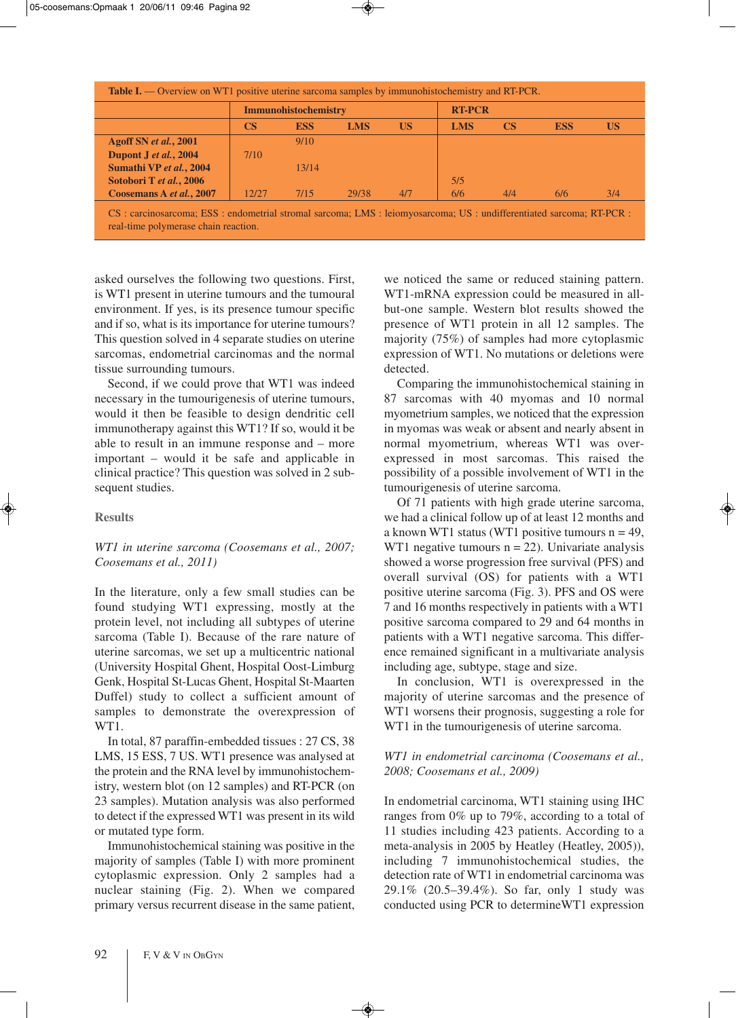|                          | Immunohistochemistry |            |       |           | <b>RT-PCR</b> |           |            |     |
|--------------------------|----------------------|------------|-------|-----------|---------------|-----------|------------|-----|
|                          | <b>CS</b>            | <b>ESS</b> | LMS   | <b>US</b> | <b>LMS</b>    | <b>CS</b> | <b>ESS</b> | US  |
| Agoff SN et al., 2001    |                      | 9/10       |       |           |               |           |            |     |
| Dupont J et al., 2004    | 7/10                 |            |       |           |               |           |            |     |
| Sumathi VP et al., 2004  |                      | 13/14      |       |           |               |           |            |     |
| Sotobori T et al., 2006  |                      |            |       |           | 5/5           |           |            |     |
| Coosemans A et al., 2007 | 12/27                | 7/15       | 29/38 | 4/7       | 6/6           | 4/4       | 6/6        | 3/4 |

real-time polymerase chain reaction.

asked ourselves the following two questions. First, is WT1 present in uterine tumours and the tumoural environment. If yes, is its presence tumour specific and if so, what is its importance for uterine tumours? This question solved in 4 separate studies on uterine sarcomas, endometrial carcinomas and the normal tissue surrounding tumours.

Second, if we could prove that WT1 was indeed necessary in the tumourigenesis of uterine tumours, would it then be feasible to design dendritic cell immunotherapy against this WT1? If so, would it be able to result in an immune response and – more important – would it be safe and applicable in clinical practice? This question was solved in 2 subsequent studies.

# **Results**

# *WT1 in uterine sarcoma (Coosemans et al., 2007; Coosemans et al., 2011)*

In the literature, only a few small studies can be found studying WT1 expressing, mostly at the protein level, not including all subtypes of uterine sarcoma (Table I). Because of the rare nature of uterine sarcomas, we set up a multicentric national (University Hospital Ghent, Hospital Oost-Limburg Genk, Hospital St-Lucas Ghent, Hospital St-Maarten Duffel) study to collect a sufficient amount of samples to demonstrate the overexpression of WT1.

In total, 87 paraffin-embedded tissues : 27 CS, 38 LMS, 15 ESS, 7 US. WT1 presence was analysed at the protein and the RNA level by immunohistochemistry, western blot (on 12 samples) and RT-PCR (on 23 samples). Mutation analysis was also performed to detect if the expressed WT1 was present in its wild or mutated type form.

Immunohistochemical staining was positive in the majority of samples (Table I) with more prominent cytoplasmic expression. Only 2 samples had a nuclear staining (Fig. 2). When we compared primary versus recurrent disease in the same patient, we noticed the same or reduced staining pattern. WT1-mRNA expression could be measured in allbut-one sample. Western blot results showed the presence of WT1 protein in all 12 samples. The majority (75%) of samples had more cytoplasmic expression of WT1. No mutations or deletions were detected.

Comparing the immunohistochemical staining in 87 sarcomas with 40 myomas and 10 normal myometrium samples, we noticed that the expression in myomas was weak or absent and nearly absent in normal myometrium, whereas WT1 was overexpressed in most sarcomas. This raised the possibility of a possible involvement of WT1 in the tumourigenesis of uterine sarcoma.

Of 71 patients with high grade uterine sarcoma, we had a clinical follow up of at least 12 months and a known WT1 status (WT1 positive tumours  $n = 49$ , WT1 negative tumours  $n = 22$ ). Univariate analysis showed a worse progression free survival (PFS) and overall survival (OS) for patients with a WT1 positive uterine sarcoma (Fig. 3). PFS and OS were 7 and 16 months respectively in patients with a WT1 positive sarcoma compared to 29 and 64 months in patients with a WT1 negative sarcoma. This difference remained significant in a multivariate analysis including age, subtype, stage and size.

In conclusion, WT1 is overexpressed in the majority of uterine sarcomas and the presence of WT1 worsens their prognosis, suggesting a role for WT1 in the tumourigenesis of uterine sarcoma.

# *WT1 in endometrial carcinoma (Coosemans et al., 2008; Coosemans et al., 2009)*

In endometrial carcinoma, WT1 staining using IHC ranges from 0% up to 79%, according to a total of 11 studies including 423 patients. According to a meta-analysis in 2005 by Heatley (Heatley, 2005)), including 7 immunohistochemical studies, the detection rate of WT1 in endometrial carcinoma was 29.1% (20.5–39.4%). So far, only 1 study was conducted using PCR to determineWT1 expression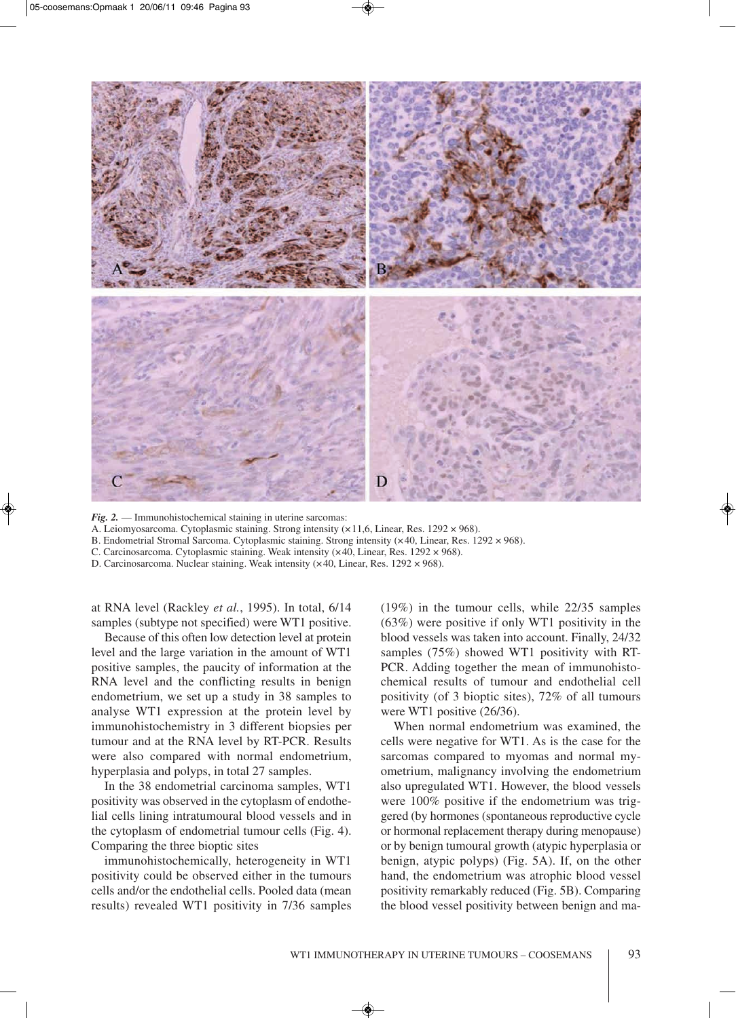

*Fig. 2.* — Immunohistochemical staining in uterine sarcomas:

A. Leiomyosarcoma. Cytoplasmic staining. Strong intensity (×11,6, Linear, Res. 1292 × 968).

B. Endometrial Stromal Sarcoma. Cytoplasmic staining. Strong intensity (×40, Linear, Res. 1292 × 968).

C. Carcinosarcoma. Cytoplasmic staining. Weak intensity (×40, Linear, Res. 1292 × 968).

D. Carcinosarcoma. Nuclear staining. Weak intensity (×40, Linear, Res. 1292 × 968).

at RNA level (Rackley *et al.*, 1995). In total, 6/14 samples (subtype not specified) were WT1 positive.

Because of this often low detection level at protein level and the large variation in the amount of WT1 positive samples, the paucity of information at the RNA level and the conflicting results in benign endometrium, we set up a study in 38 samples to analyse WT1 expression at the protein level by immunohistochemistry in 3 different biopsies per tumour and at the RNA level by RT-PCR. Results were also compared with normal endometrium, hyperplasia and polyps, in total 27 samples.

In the 38 endometrial carcinoma samples, WT1 positivity was observed in the cytoplasm of endothelial cells lining intratumoural blood vessels and in the cytoplasm of endometrial tumour cells (Fig. 4). Comparing the three bioptic sites

immunohistochemically, heterogeneity in WT1 positivity could be observed either in the tumours cells and/or the endothelial cells. Pooled data (mean results) revealed WT1 positivity in 7/36 samples

(19%) in the tumour cells, while 22/35 samples (63%) were positive if only WT1 positivity in the blood vessels was taken into account. Finally, 24/32 samples (75%) showed WT1 positivity with RT-PCR. Adding together the mean of immunohistochemical results of tumour and endothelial cell positivity (of 3 bioptic sites), 72% of all tumours were WT1 positive (26/36).

When normal endometrium was examined, the cells were negative for WT1. As is the case for the sarcomas compared to myomas and normal myometrium, malignancy involving the endometrium also upregulated WT1. However, the blood vessels were 100% positive if the endometrium was triggered (by hormones (spontaneous reproductive cycle or hormonal replacement therapy during menopause) or by benign tumoural growth (atypic hyperplasia or benign, atypic polyps) (Fig. 5A). If, on the other hand, the endometrium was atrophic blood vessel positivity remarkably reduced (Fig. 5B). Comparing the blood vessel positivity between benign and ma-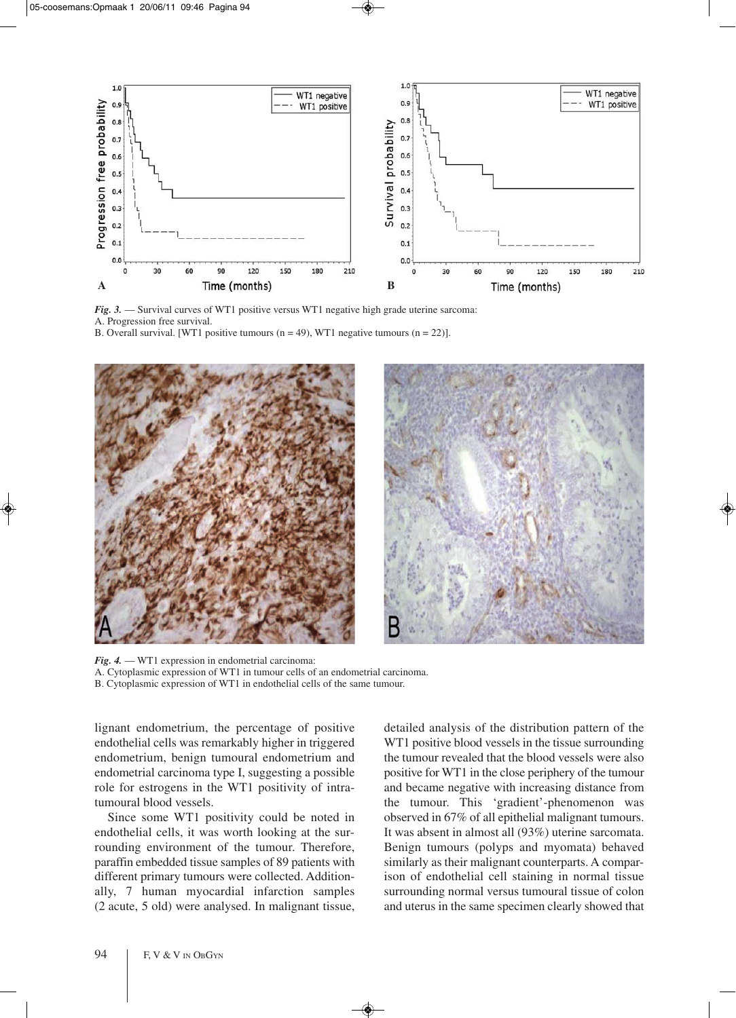

*Fig. 3.* — Survival curves of WT1 positive versus WT1 negative high grade uterine sarcoma: A. Progression free survival. B. Overall survival. [WT1 positive tumours ( $n = 49$ ), WT1 negative tumours ( $n = 22$ )].



*Fig. 4.* — WT1 expression in endometrial carcinoma: A. Cytoplasmic expression of WT1 in tumour cells of an endometrial carcinoma. B. Cytoplasmic expression of WT1 in endothelial cells of the same tumour.

lignant endometrium, the percentage of positive endothelial cells was remarkably higher in triggered endometrium, benign tumoural endometrium and endometrial carcinoma type I, suggesting a possible role for estrogens in the WT1 positivity of intratumoural blood vessels.

Since some WT1 positivity could be noted in endothelial cells, it was worth looking at the surrounding environment of the tumour. Therefore, paraffin embedded tissue samples of 89 patients with different primary tumours were collected. Additionally, 7 human myocardial infarction samples (2 acute, 5 old) were analysed. In malignant tissue, detailed analysis of the distribution pattern of the WT1 positive blood vessels in the tissue surrounding the tumour revealed that the blood vessels were also positive for WT1 in the close periphery of the tumour and became negative with increasing distance from the tumour. This 'gradient'-phenomenon was observed in 67% of all epithelial malignant tumours. It was absent in almost all (93%) uterine sarcomata. Benign tumours (polyps and myomata) behaved similarly as their malignant counterparts. A comparison of endothelial cell staining in normal tissue surrounding normal versus tumoural tissue of colon and uterus in the same specimen clearly showed that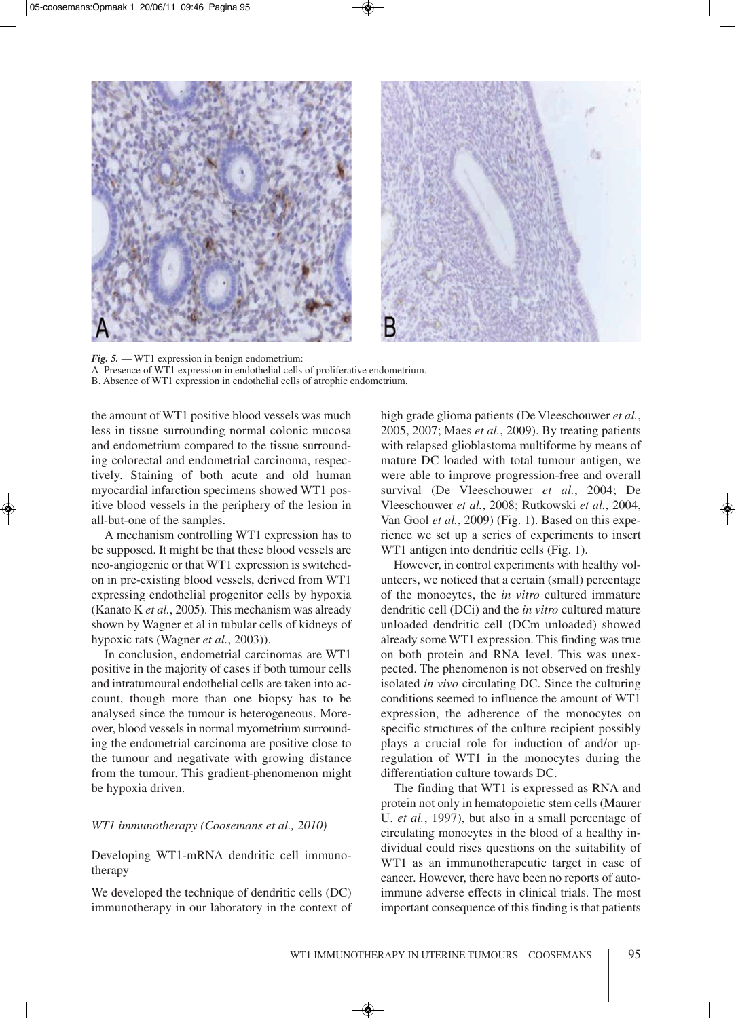

*Fig. 5.* — WT1 expression in benign endometrium: A. Presence of WT1 expression in endothelial cells of proliferative endometrium. B. Absence of WT1 expression in endothelial cells of atrophic endometrium.

the amount of WT1 positive blood vessels was much less in tissue surrounding normal colonic mucosa and endometrium compared to the tissue surrounding colorectal and endometrial carcinoma, respectively. Staining of both acute and old human myocardial infarction specimens showed WT1 positive blood vessels in the periphery of the lesion in all-but-one of the samples.

A mechanism controlling WT1 expression has to be supposed. It might be that these blood vessels are neo-angiogenic or that WT1 expression is switchedon in pre-existing blood vessels, derived from WT1 expressing endothelial progenitor cells by hypoxia (Kanato K *et al.*, 2005). This mechanism was already shown by Wagner et al in tubular cells of kidneys of hypoxic rats (Wagner *et al.*, 2003)).

In conclusion, endometrial carcinomas are WT1 positive in the majority of cases if both tumour cells and intratumoural endothelial cells are taken into account, though more than one biopsy has to be analysed since the tumour is heterogeneous. Moreover, blood vessels in normal myometrium surrounding the endometrial carcinoma are positive close to the tumour and negativate with growing distance from the tumour. This gradient-phenomenon might be hypoxia driven.

#### *WT1 immunotherapy (Coosemans et al., 2010)*

Developing WT1-mRNA dendritic cell immunotherapy

We developed the technique of dendritic cells (DC) immunotherapy in our laboratory in the context of high grade glioma patients (De Vleeschouwer *et al.*, 2005, 2007; Maes *et al.*, 2009). By treating patients with relapsed glioblastoma multiforme by means of mature DC loaded with total tumour antigen, we were able to improve progression-free and overall survival (De Vleeschouwer *et al.*, 2004; De Vleeschouwer *et al.*, 2008; Rutkowski *et al.*, 2004, Van Gool *et al.*, 2009) (Fig. 1). Based on this experience we set up a series of experiments to insert WT1 antigen into dendritic cells (Fig. 1).

However, in control experiments with healthy volunteers, we noticed that a certain (small) percentage of the monocytes, the *in vitro* cultured immature dendritic cell (DCi) and the *in vitro* cultured mature unloaded dendritic cell (DCm unloaded) showed already some WT1 expression. This finding was true on both protein and RNA level. This was unexpected. The phenomenon is not observed on freshly isolated *in vivo* circulating DC. Since the culturing conditions seemed to influence the amount of WT1 expression, the adherence of the monocytes on specific structures of the culture recipient possibly plays a crucial role for induction of and/or upregulation of WT1 in the monocytes during the differentiation culture towards DC.

The finding that WT1 is expressed as RNA and protein not only in hematopoietic stem cells (Maurer U. *et al.*, 1997), but also in a small percentage of circulating monocytes in the blood of a healthy individual could rises questions on the suitability of WT1 as an immunotherapeutic target in case of cancer. However, there have been no reports of autoimmune adverse effects in clinical trials. The most important consequence of this finding is that patients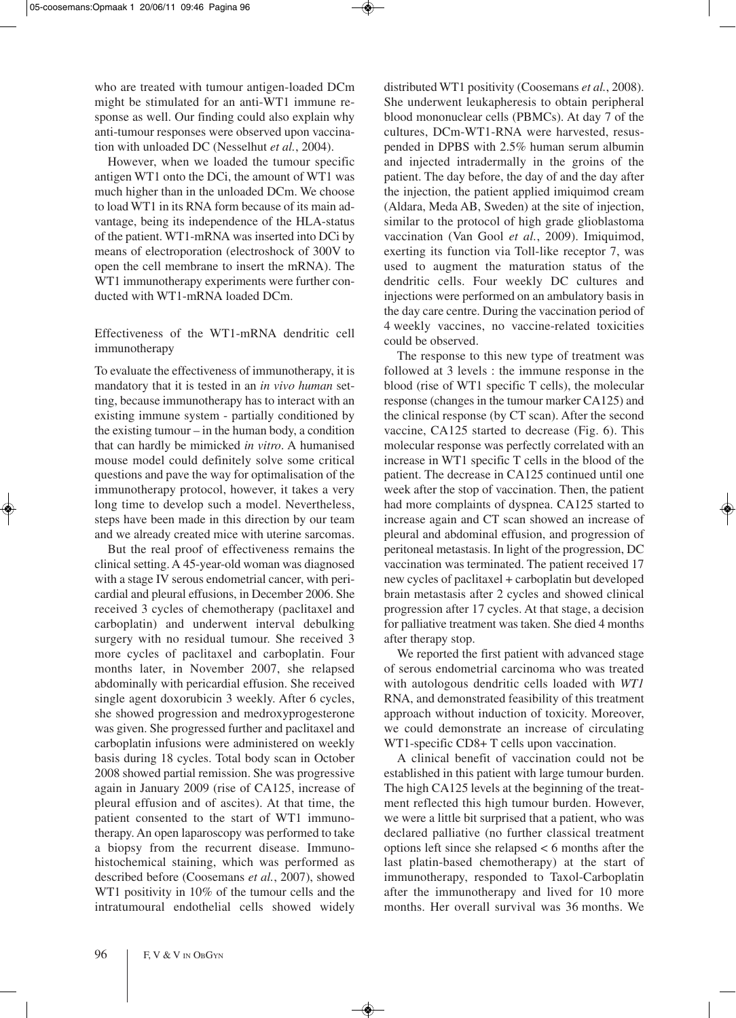who are treated with tumour antigen-loaded DCm might be stimulated for an anti-WT1 immune response as well. Our finding could also explain why anti-tumour responses were observed upon vaccination with unloaded DC (Nesselhut *et al.*, 2004).

However, when we loaded the tumour specific antigen WT1 onto the DCi, the amount of WT1 was much higher than in the unloaded DCm. We choose to load WT1 in its RNA form because of its main advantage, being its independence of the HLA-status of the patient. WT1-mRNA was inserted into DCi by means of electroporation (electroshock of 300V to open the cell membrane to insert the mRNA). The WT1 immunotherapy experiments were further conducted with WT1-mRNA loaded DCm.

# Effectiveness of the WT1-mRNA dendritic cell immunotherapy

To evaluate the effectiveness of immunotherapy, it is mandatory that it is tested in an *in vivo human* setting, because immunotherapy has to interact with an existing immune system - partially conditioned by the existing tumour – in the human body, a condition that can hardly be mimicked *in vitro*. A humanised mouse model could definitely solve some critical questions and pave the way for optimalisation of the immunotherapy protocol, however, it takes a very long time to develop such a model. Nevertheless, steps have been made in this direction by our team and we already created mice with uterine sarcomas.

But the real proof of effectiveness remains the clinical setting. A 45-year-old woman was diagnosed with a stage IV serous endometrial cancer, with pericardial and pleural effusions, in December 2006. She received 3 cycles of chemotherapy (paclitaxel and carboplatin) and underwent interval debulking surgery with no residual tumour. She received 3 more cycles of paclitaxel and carboplatin. Four months later, in November 2007, she relapsed abdominally with pericardial effusion. She received single agent doxorubicin 3 weekly. After 6 cycles, she showed progression and medroxyprogesterone was given. She progressed further and paclitaxel and carboplatin infusions were administered on weekly basis during 18 cycles. Total body scan in October 2008 showed partial remission. She was progressive again in January 2009 (rise of CA125, increase of pleural effusion and of ascites). At that time, the patient consented to the start of WT1 immunotherapy. An open laparoscopy was performed to take a biopsy from the recurrent disease. Immunohistochemical staining, which was performed as described before (Coosemans *et al.*, 2007), showed WT1 positivity in 10% of the tumour cells and the intratumoural endothelial cells showed widely distributed WT1 positivity (Coosemans *et al.*, 2008). She underwent leukapheresis to obtain peripheral blood mononuclear cells (PBMCs). At day 7 of the cultures, DCm-WT1-RNA were harvested, resuspended in DPBS with 2.5% human serum albumin and injected intradermally in the groins of the patient. The day before, the day of and the day after the injection, the patient applied imiquimod cream (Aldara, Meda AB, Sweden) at the site of injection, similar to the protocol of high grade glioblastoma vaccination (Van Gool *et al.*, 2009). Imiquimod, exerting its function via Toll-like receptor 7, was used to augment the maturation status of the dendritic cells. Four weekly DC cultures and injections were performed on an ambulatory basis in the day care centre. During the vaccination period of 4 weekly vaccines, no vaccine-related toxicities could be observed.

The response to this new type of treatment was followed at 3 levels : the immune response in the blood (rise of WT1 specific T cells), the molecular response (changes in the tumour marker CA125) and the clinical response (by CT scan). After the second vaccine, CA125 started to decrease (Fig. 6). This molecular response was perfectly correlated with an increase in WT1 specific T cells in the blood of the patient. The decrease in CA125 continued until one week after the stop of vaccination. Then, the patient had more complaints of dyspnea. CA125 started to increase again and CT scan showed an increase of pleural and abdominal effusion, and progression of peritoneal metastasis. In light of the progression, DC vaccination was terminated. The patient received 17 new cycles of paclitaxel + carboplatin but developed brain metastasis after 2 cycles and showed clinical progression after 17 cycles. At that stage, a decision for palliative treatment was taken. She died 4 months after therapy stop.

We reported the first patient with advanced stage of serous endometrial carcinoma who was treated with autologous dendritic cells loaded with *WT1* RNA, and demonstrated feasibility of this treatment approach without induction of toxicity. Moreover, we could demonstrate an increase of circulating WT1-specific CD8+ T cells upon vaccination.

A clinical benefit of vaccination could not be established in this patient with large tumour burden. The high CA125 levels at the beginning of the treatment reflected this high tumour burden. However, we were a little bit surprised that a patient, who was declared palliative (no further classical treatment options left since she relapsed < 6 months after the last platin-based chemotherapy) at the start of immunotherapy, responded to Taxol-Carboplatin after the immunotherapy and lived for 10 more months. Her overall survival was 36 months. We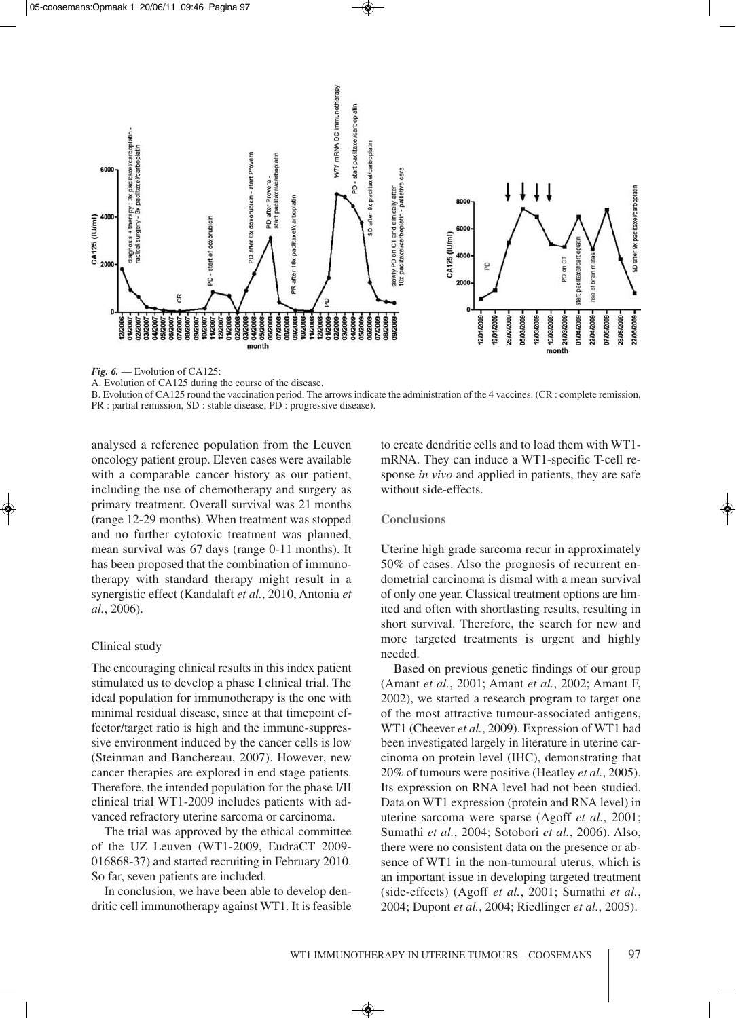

*Fig. 6.* — Evolution of CA125:

B. Evolution of CA125 round the vaccination period. The arrows indicate the administration of the 4 vaccines. (CR : complete remission, PR : partial remission, SD : stable disease, PD : progressive disease).

analysed a reference population from the Leuven oncology patient group. Eleven cases were available with a comparable cancer history as our patient, including the use of chemotherapy and surgery as primary treatment. Overall survival was 21 months (range 12-29 months). When treatment was stopped and no further cytotoxic treatment was planned, mean survival was 67 days (range 0-11 months). It has been proposed that the combination of immunotherapy with standard therapy might result in a synergistic effect (Kandalaft *et al.*, 2010, Antonia *et al.*, 2006).

## Clinical study

The encouraging clinical results in this index patient stimulated us to develop a phase I clinical trial. The ideal population for immunotherapy is the one with minimal residual disease, since at that timepoint effector/target ratio is high and the immune-suppressive environment induced by the cancer cells is low (Steinman and Banchereau, 2007). However, new cancer therapies are explored in end stage patients. Therefore, the intended population for the phase I/II clinical trial WT1-2009 includes patients with advanced refractory uterine sarcoma or carcinoma.

The trial was approved by the ethical committee of the UZ Leuven (WT1-2009, EudraCT 2009- 016868-37) and started recruiting in February 2010. So far, seven patients are included.

In conclusion, we have been able to develop dendritic cell immunotherapy against WT1. It is feasible to create dendritic cells and to load them with WT1 mRNA. They can induce a WT1-specific T-cell response *in vivo* and applied in patients, they are safe without side-effects.

## **Conclusions**

Uterine high grade sarcoma recur in approximately 50% of cases. Also the prognosis of recurrent endometrial carcinoma is dismal with a mean survival of only one year. Classical treatment options are limited and often with shortlasting results, resulting in short survival. Therefore, the search for new and more targeted treatments is urgent and highly needed.

Based on previous genetic findings of our group (Amant *et al.*, 2001; Amant *et al.*, 2002; Amant F, 2002), we started a research program to target one of the most attractive tumour-associated antigens, WT1 (Cheever *et al.*, 2009). Expression of WT1 had been investigated largely in literature in uterine carcinoma on protein level (IHC), demonstrating that 20% of tumours were positive (Heatley *et al.*, 2005). Its expression on RNA level had not been studied. Data on WT1 expression (protein and RNA level) in uterine sarcoma were sparse (Agoff *et al.*, 2001; Sumathi *et al.*, 2004; Sotobori *et al.*, 2006). Also, there were no consistent data on the presence or absence of WT1 in the non-tumoural uterus, which is an important issue in developing targeted treatment (side-effects) (Agoff *et al.*, 2001; Sumathi *et al.*, 2004; Dupont *et al.*, 2004; Riedlinger *et al.*, 2005).

A. Evolution of CA125 during the course of the disease.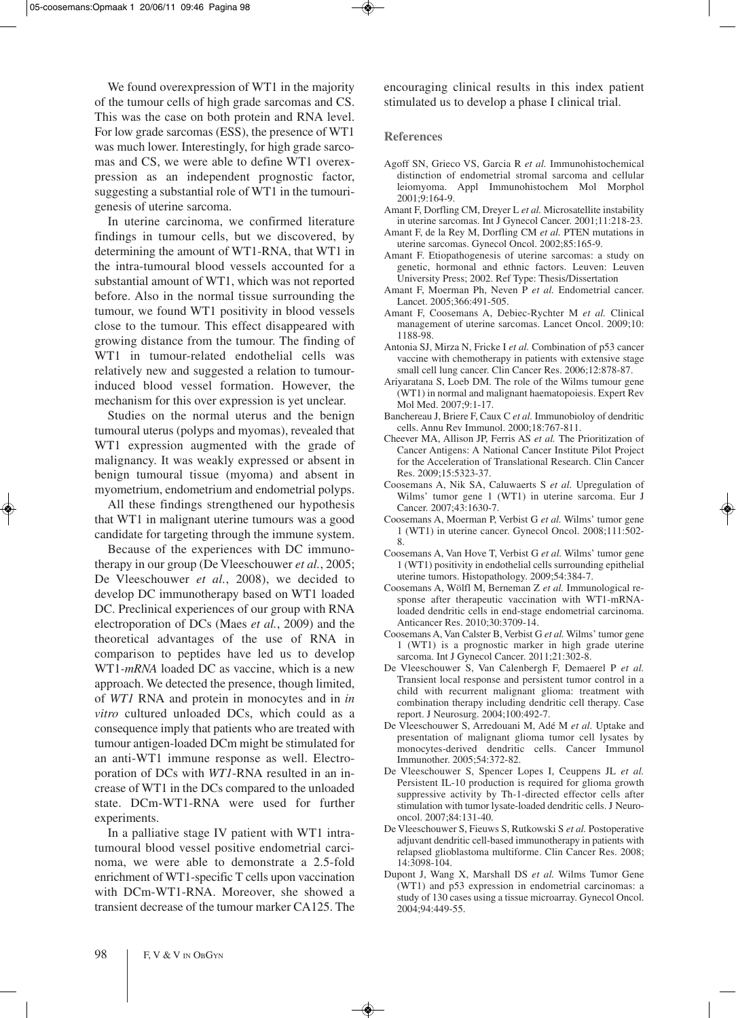We found overexpression of WT1 in the majority of the tumour cells of high grade sarcomas and CS. This was the case on both protein and RNA level. For low grade sarcomas (ESS), the presence of WT1 was much lower. Interestingly, for high grade sarcomas and CS, we were able to define WT1 overexpression as an independent prognostic factor, suggesting a substantial role of WT1 in the tumourigenesis of uterine sarcoma.

In uterine carcinoma, we confirmed literature findings in tumour cells, but we discovered, by determining the amount of WT1-RNA, that WT1 in the intra-tumoural blood vessels accounted for a substantial amount of WT1, which was not reported before. Also in the normal tissue surrounding the tumour, we found WT1 positivity in blood vessels close to the tumour. This effect disappeared with growing distance from the tumour. The finding of WT1 in tumour-related endothelial cells was relatively new and suggested a relation to tumourinduced blood vessel formation. However, the mechanism for this over expression is yet unclear.

Studies on the normal uterus and the benign tumoural uterus (polyps and myomas), revealed that WT1 expression augmented with the grade of malignancy. It was weakly expressed or absent in benign tumoural tissue (myoma) and absent in myometrium, endometrium and endometrial polyps.

All these findings strengthened our hypothesis that WT1 in malignant uterine tumours was a good candidate for targeting through the immune system.

Because of the experiences with DC immunotherapy in our group (De Vleeschouwer *et al.*, 2005; De Vleeschouwer *et al.*, 2008), we decided to develop DC immunotherapy based on WT1 loaded DC. Preclinical experiences of our group with RNA electroporation of DCs (Maes *et al.*, 2009) and the theoretical advantages of the use of RNA in comparison to peptides have led us to develop WT1*-mRNA* loaded DC as vaccine, which is a new approach. We detected the presence, though limited, of *WT1* RNA and protein in monocytes and in *in vitro* cultured unloaded DCs, which could as a consequence imply that patients who are treated with tumour antigen-loaded DCm might be stimulated for an anti-WT1 immune response as well. Electroporation of DCs with *WT1*-RNA resulted in an increase of WT1 in the DCs compared to the unloaded state. DCm-WT1-RNA were used for further experiments.

In a palliative stage IV patient with WT1 intratumoural blood vessel positive endometrial carcinoma, we were able to demonstrate a 2.5-fold enrichment of WT1-specific T cells upon vaccination with DCm-WT1-RNA. Moreover, she showed a transient decrease of the tumour marker CA125. The

encouraging clinical results in this index patient stimulated us to develop a phase I clinical trial.

#### **References**

- Agoff SN, Grieco VS, Garcia R *et al.* Immunohistochemical distinction of endometrial stromal sarcoma and cellular leiomyoma. Appl Immunohistochem Mol Morphol 2001;9:164-9.
- Amant F, Dorfling CM, Dreyer L *et al.* Microsatellite instability in uterine sarcomas. Int J Gynecol Cancer. 2001;11:218-23.
- Amant F, de la Rey M, Dorfling CM *et al.* PTEN mutations in uterine sarcomas. Gynecol Oncol. 2002;85:165-9.
- Amant F. Etiopathogenesis of uterine sarcomas: a study on genetic, hormonal and ethnic factors. Leuven: Leuven University Press; 2002. Ref Type: Thesis/Dissertation
- Amant F, Moerman Ph, Neven P *et al.* Endometrial cancer. Lancet. 2005;366:491-505.
- Amant F, Coosemans A, Debiec-Rychter M *et al.* Clinical management of uterine sarcomas. Lancet Oncol. 2009;10: 1188-98.
- Antonia SJ, Mirza N, Fricke I *et al.* Combination of p53 cancer vaccine with chemotherapy in patients with extensive stage small cell lung cancer. Clin Cancer Res. 2006;12:878-87.
- Ariyaratana S, Loeb DM. The role of the Wilms tumour gene (WT1) in normal and malignant haematopoiesis. Expert Rev Mol Med. 2007;9:1-17.
- Banchereau J, Briere F, Caux C *et al.* Immunobioloy of dendritic cells. Annu Rev Immunol. 2000;18:767-811.
- Cheever MA, Allison JP, Ferris AS *et al.* The Prioritization of Cancer Antigens: A National Cancer Institute Pilot Project for the Acceleration of Translational Research. Clin Cancer Res. 2009;15:5323-37.
- Coosemans A, Nik SA, Caluwaerts S *et al.* Upregulation of Wilms' tumor gene 1 (WT1) in uterine sarcoma. Eur J Cancer. 2007;43:1630-7.
- Coosemans A, Moerman P, Verbist G *et al.* Wilms' tumor gene 1 (WT1) in uterine cancer. Gynecol Oncol. 2008;111:502- 8.
- Coosemans A, Van Hove T, Verbist G *et al.* Wilms' tumor gene 1 (WT1) positivity in endothelial cells surrounding epithelial uterine tumors. Histopathology. 2009;54:384-7.
- Coosemans A, Wölfl M, Berneman Z *et al.* Immunological response after therapeutic vaccination with WT1-mRNAloaded dendritic cells in end-stage endometrial carcinoma. Anticancer Res. 2010;30:3709-14.
- Coosemans A, Van Calster B, Verbist G *et al.* Wilms' tumor gene 1 (WT1) is a prognostic marker in high grade uterine sarcoma. Int J Gynecol Cancer. 2011;21:302-8.
- De Vleeschouwer S, Van Calenbergh F, Demaerel P *et al.* Transient local response and persistent tumor control in a child with recurrent malignant glioma: treatment with combination therapy including dendritic cell therapy. Case report. J Neurosurg. 2004;100:492-7.
- De Vleeschouwer S, Arredouani M, Adé M *et al.* Uptake and presentation of malignant glioma tumor cell lysates by monocytes-derived dendritic cells. Cancer Immunol Immunother. 2005;54:372-82.
- De Vleeschouwer S, Spencer Lopes I, Ceuppens JL *et al.* Persistent IL-10 production is required for glioma growth suppressive activity by Th-1-directed effector cells after stimulation with tumor lysate-loaded dendritic cells. J Neurooncol. 2007;84:131-40.
- De Vleeschouwer S, Fieuws S, Rutkowski S *et al.* Postoperative adjuvant dendritic cell-based immunotherapy in patients with relapsed glioblastoma multiforme. Clin Cancer Res. 2008; 14:3098-104.
- Dupont J, Wang X, Marshall DS *et al.* Wilms Tumor Gene (WT1) and p53 expression in endometrial carcinomas: a study of 130 cases using a tissue microarray. Gynecol Oncol. 2004;94:449-55.